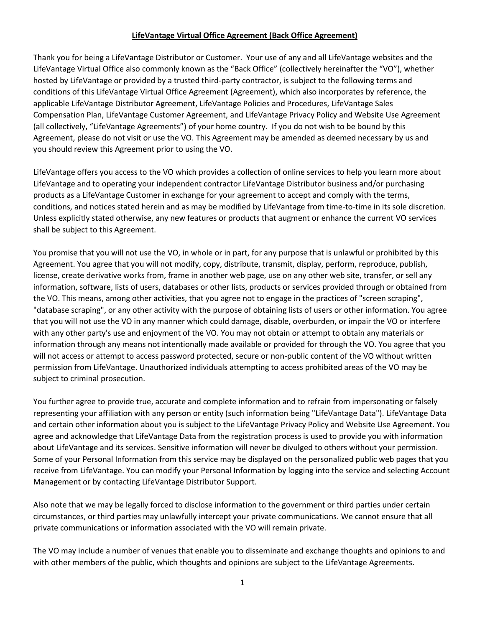## **LifeVantage Virtual Office Agreement (Back Office Agreement)**

Thank you for being a LifeVantage Distributor or Customer. Your use of any and all LifeVantage websites and the LifeVantage Virtual Office also commonly known as the "Back Office" (collectively hereinafter the "VO"), whether hosted by LifeVantage or provided by a trusted third-party contractor, is subject to the following terms and conditions of this LifeVantage Virtual Office Agreement (Agreement), which also incorporates by reference, the applicable LifeVantage Distributor Agreement, LifeVantage Policies and Procedures, LifeVantage Sales Compensation Plan, LifeVantage Customer Agreement, and LifeVantage Privacy Policy and Website Use Agreement (all collectively, "LifeVantage Agreements") of your home country. If you do not wish to be bound by this Agreement, please do not visit or use the VO. This Agreement may be amended as deemed necessary by us and you should review this Agreement prior to using the VO.

LifeVantage offers you access to the VO which provides a collection of online services to help you learn more about LifeVantage and to operating your independent contractor LifeVantage Distributor business and/or purchasing products as a LifeVantage Customer in exchange for your agreement to accept and comply with the terms, conditions, and notices stated herein and as may be modified by LifeVantage from time-to-time in its sole discretion. Unless explicitly stated otherwise, any new features or products that augment or enhance the current VO services shall be subject to this Agreement.

You promise that you will not use the VO, in whole or in part, for any purpose that is unlawful or prohibited by this Agreement. You agree that you will not modify, copy, distribute, transmit, display, perform, reproduce, publish, license, create derivative works from, frame in another web page, use on any other web site, transfer, or sell any information, software, lists of users, databases or other lists, products or services provided through or obtained from the VO. This means, among other activities, that you agree not to engage in the practices of "screen scraping", "database scraping", or any other activity with the purpose of obtaining lists of users or other information. You agree that you will not use the VO in any manner which could damage, disable, overburden, or impair the VO or interfere with any other party's use and enjoyment of the VO. You may not obtain or attempt to obtain any materials or information through any means not intentionally made available or provided for through the VO. You agree that you will not access or attempt to access password protected, secure or non-public content of the VO without written permission from LifeVantage. Unauthorized individuals attempting to access prohibited areas of the VO may be subject to criminal prosecution.

You further agree to provide true, accurate and complete information and to refrain from impersonating or falsely representing your affiliation with any person or entity (such information being "LifeVantage Data"). LifeVantage Data and certain other information about you is subject to the LifeVantage Privacy Policy and Website Use Agreement. You agree and acknowledge that LifeVantage Data from the registration process is used to provide you with information about LifeVantage and its services. Sensitive information will never be divulged to others without your permission. Some of your Personal Information from this service may be displayed on the personalized public web pages that you receive from LifeVantage. You can modify your Personal Information by logging into the service and selecting Account Management or by contacting LifeVantage Distributor Support.

Also note that we may be legally forced to disclose information to the government or third parties under certain circumstances, or third parties may unlawfully intercept your private communications. We cannot ensure that all private communications or information associated with the VO will remain private.

The VO may include a number of venues that enable you to disseminate and exchange thoughts and opinions to and with other members of the public, which thoughts and opinions are subject to the LifeVantage Agreements.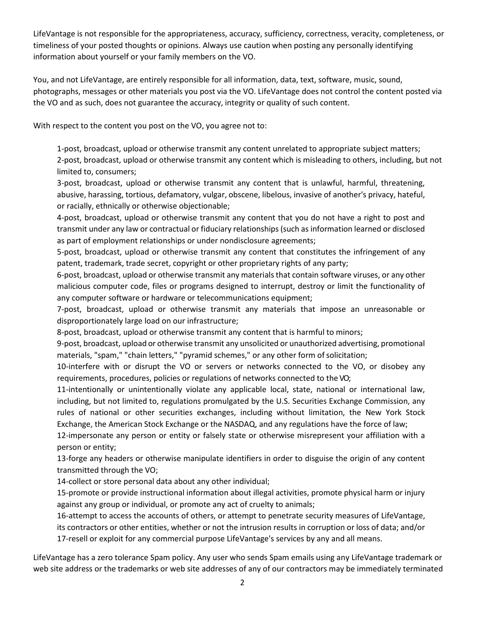LifeVantage is not responsible for the appropriateness, accuracy, sufficiency, correctness, veracity, completeness, or timeliness of your posted thoughts or opinions. Always use caution when posting any personally identifying information about yourself or your family members on the VO.

You, and not LifeVantage, are entirely responsible for all information, data, text, software, music, sound, photographs, messages or other materials you post via the VO. LifeVantage does not control the content posted via the VO and as such, does not guarantee the accuracy, integrity or quality of such content.

With respect to the content you post on the VO, you agree not to:

1-post, broadcast, upload or otherwise transmit any content unrelated to appropriate subject matters; 2-post, broadcast, upload or otherwise transmit any content which is misleading to others, including, but not limited to, consumers;

3-post, broadcast, upload or otherwise transmit any content that is unlawful, harmful, threatening, abusive, harassing, tortious, defamatory, vulgar, obscene, libelous, invasive of another's privacy, hateful, or racially, ethnically or otherwise objectionable;

4-post, broadcast, upload or otherwise transmit any content that you do not have a right to post and transmit under any law or contractual or fiduciary relationships (such as information learned or disclosed as part of employment relationships or under nondisclosure agreements;

5-post, broadcast, upload or otherwise transmit any content that constitutes the infringement of any patent, trademark, trade secret, copyright or other proprietary rights of any party;

6-post, broadcast, upload or otherwise transmit any materials that contain software viruses, or any other malicious computer code, files or programs designed to interrupt, destroy or limit the functionality of any computer software or hardware or telecommunications equipment;

7-post, broadcast, upload or otherwise transmit any materials that impose an unreasonable or disproportionately large load on our infrastructure;

8-post, broadcast, upload or otherwise transmit any content that is harmful to minors;

9-post, broadcast, upload or otherwise transmit any unsolicited or unauthorized advertising, promotional materials, "spam," "chain letters," "pyramid schemes," or any other form of solicitation;

10-interfere with or disrupt the VO or servers or networks connected to the VO, or disobey any requirements, procedures, policies or regulations of networks connected to the VO;

11-intentionally or unintentionally violate any applicable local, state, national or international law, including, but not limited to, regulations promulgated by the U.S. Securities Exchange Commission, any rules of national or other securities exchanges, including without limitation, the New York Stock Exchange, the American Stock Exchange or the NASDAQ, and any regulations have the force of law;

12-impersonate any person or entity or falsely state or otherwise misrepresent your affiliation with a person or entity;

13-forge any headers or otherwise manipulate identifiers in order to disguise the origin of any content transmitted through the VO;

14-collect or store personal data about any other individual;

15-promote or provide instructional information about illegal activities, promote physical harm or injury against any group or individual, or promote any act of cruelty to animals;

16-attempt to access the accounts of others, or attempt to penetrate security measures of LifeVantage, its contractors or other entities, whether or not the intrusion results in corruption or loss of data; and/or 17-resell or exploit for any commercial purpose LifeVantage's services by any and all means.

LifeVantage has a zero tolerance Spam policy. Any user who sends Spam emails using any LifeVantage trademark or web site address or the trademarks or web site addresses of any of our contractors may be immediately terminated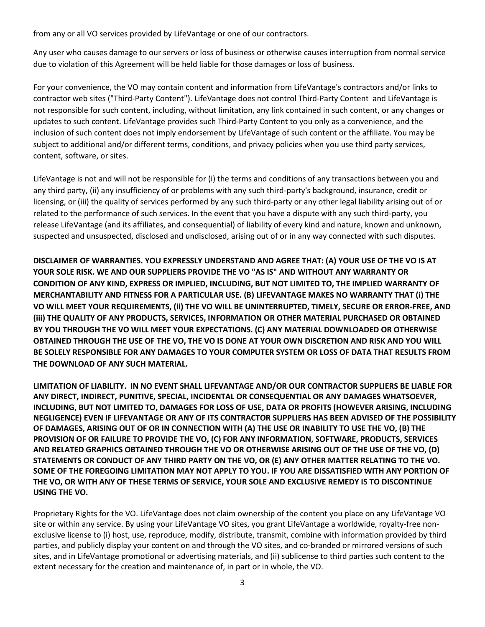from any or all VO services provided by LifeVantage or one of our contractors.

Any user who causes damage to our servers or loss of business or otherwise causes interruption from normal service due to violation of this Agreement will be held liable for those damages or loss of business.

For your convenience, the VO may contain content and information from LifeVantage's contractors and/or links to contractor web sites ("Third-Party Content"). LifeVantage does not control Third-Party Content and LifeVantage is not responsible for such content, including, without limitation, any link contained in such content, or any changes or updates to such content. LifeVantage provides such Third-Party Content to you only as a convenience, and the inclusion of such content does not imply endorsement by LifeVantage of such content or the affiliate. You may be subject to additional and/or different terms, conditions, and privacy policies when you use third party services, content, software, or sites.

LifeVantage is not and will not be responsible for (i) the terms and conditions of any transactions between you and any third party, (ii) any insufficiency of or problems with any such third-party's background, insurance, credit or licensing, or (iii) the quality of services performed by any such third-party or any other legal liability arising out of or related to the performance of such services. In the event that you have a dispute with any such third-party, you release LifeVantage (and its affiliates, and consequential) of liability of every kind and nature, known and unknown, suspected and unsuspected, disclosed and undisclosed, arising out of or in any way connected with such disputes.

**DISCLAIMER OF WARRANTIES. YOU EXPRESSLY UNDERSTAND AND AGREE THAT: (A) YOUR USE OF THE VO IS AT YOUR SOLE RISK. WE AND OUR SUPPLIERS PROVIDE THE VO "AS IS" AND WITHOUT ANY WARRANTY OR CONDITION OF ANY KIND, EXPRESS OR IMPLIED, INCLUDING, BUT NOT LIMITED TO, THE IMPLIED WARRANTY OF MERCHANTABILITY AND FITNESS FOR A PARTICULAR USE. (B) LIFEVANTAGE MAKES NO WARRANTY THAT (i) THE VO WILL MEET YOUR REQUIREMENTS, (ii) THE VO WILL BE UNINTERRUPTED, TIMELY, SECURE OR ERROR-FREE, AND (iii) THE QUALITY OF ANY PRODUCTS, SERVICES, INFORMATION OR OTHER MATERIAL PURCHASED OR OBTAINED BY YOU THROUGH THE VO WILL MEET YOUR EXPECTATIONS. (C) ANY MATERIAL DOWNLOADED OR OTHERWISE OBTAINED THROUGH THE USE OF THE VO, THE VO IS DONE AT YOUR OWN DISCRETION AND RISK AND YOU WILL BE SOLELY RESPONSIBLE FOR ANY DAMAGES TO YOUR COMPUTER SYSTEM OR LOSS OF DATA THAT RESULTS FROM THE DOWNLOAD OF ANY SUCH MATERIAL.**

**LIMITATION OF LIABILITY. IN NO EVENT SHALL LIFEVANTAGE AND/OR OUR CONTRACTOR SUPPLIERS BE LIABLE FOR ANY DIRECT, INDIRECT, PUNITIVE, SPECIAL, INCIDENTAL OR CONSEQUENTIAL OR ANY DAMAGES WHATSOEVER, INCLUDING, BUT NOT LIMITED TO, DAMAGES FOR LOSS OF USE, DATA OR PROFITS (HOWEVER ARISING, INCLUDING NEGLIGENCE) EVEN IF LIFEVANTAGE OR ANY OF ITS CONTRACTOR SUPPLIERS HAS BEEN ADVISED OF THE POSSIBILITY OF DAMAGES, ARISING OUT OF OR IN CONNECTION WITH (A) THE USE OR INABILITY TO USE THE VO, (B) THE PROVISION OF OR FAILURE TO PROVIDE THE VO, (C) FOR ANY INFORMATION, SOFTWARE, PRODUCTS, SERVICES AND RELATED GRAPHICS OBTAINED THROUGH THE VO OR OTHERWISE ARISING OUT OF THE USE OF THE VO, (D) STATEMENTS OR CONDUCT OF ANY THIRD PARTY ON THE VO, OR (E) ANY OTHER MATTER RELATING TO THE VO. SOME OF THE FOREGOING LIMITATION MAY NOT APPLY TO YOU. IF YOU ARE DISSATISFIED WITH ANY PORTION OF THE VO, OR WITH ANY OF THESE TERMS OF SERVICE, YOUR SOLE AND EXCLUSIVE REMEDY IS TO DISCONTINUE USING THE VO.**

Proprietary Rights for the VO. LifeVantage does not claim ownership of the content you place on any LifeVantage VO site or within any service. By using your LifeVantage VO sites, you grant LifeVantage a worldwide, royalty-free nonexclusive license to (i) host, use, reproduce, modify, distribute, transmit, combine with information provided by third parties, and publicly display your content on and through the VO sites, and co-branded or mirrored versions of such sites, and in LifeVantage promotional or advertising materials, and (ii) sublicense to third parties such content to the extent necessary for the creation and maintenance of, in part or in whole, the VO.